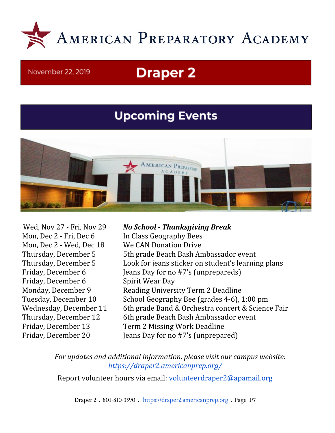

#### November 22, 2019

# **Draper 2**

# **Upcoming Events**



Mon, Dec 2 - Fri, Dec 6 In Class Geography Bees Mon, Dec 2 - Wed, Dec 18 We CAN Donation Drive Friday, December 6 Spirit Wear Day

Wed, Nov 27 - Fri, Nov 29 *No School - Thanksgiving Break* Thursday, December 5 5th grade Beach Bash Ambassador event Thursday, December 5 Look for jeans sticker on student's learning plans Friday, December 6 Jeans Day for no #7's (unprepareds) Monday, December 9 Reading University Term 2 Deadline Tuesday, December 10 School Geography Bee (grades 4-6), 1:00 pm Wednesday, December 11 6th grade Band & Orchestra concert & Science Fair Thursday, December 12 6th grade Beach Bash Ambassador event Friday, December 13 Term 2 Missing Work Deadline Friday, December 20 Jeans Day for no #7's (unprepared)

> *For updates and additional information, please visit our campus website: <https://draper2.americanprep.org/>*

Report volunteer hours via email: [volunteerdraper2@apamail.org](mailto:volunteerdraper2@apamail.org)

Draper 2 . 801-810-3590 . [https://draper2.americanprep.org](https://draper2.americanprep.org/) . Page 1/7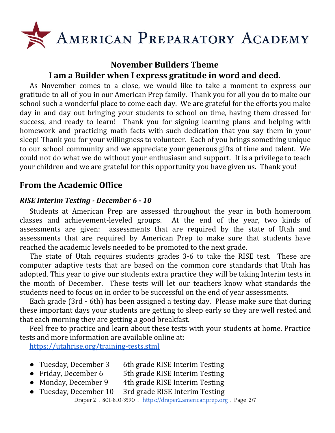

# **November Builders Theme I am a Builder when I express gratitude in word and deed.**

As November comes to a close, we would like to take a moment to express our gratitude to all of you in our American Prep family. Thank you for all you do to make our school such a wonderful place to come each day. We are grateful for the efforts you make day in and day out bringing your students to school on time, having them dressed for success, and ready to learn! Thank you for signing learning plans and helping with homework and practicing math facts with such dedication that you say them in your sleep! Thank you for your willingness to volunteer. Each of you brings something unique to our school community and we appreciate your generous gifts of time and talent. We could not do what we do without your enthusiasm and support. It is a privilege to teach your children and we are grateful for this opportunity you have given us. Thank you!

# **From the Academic Office**

# *RISE Interim Testing - December 6 - 10*

Students at American Prep are assessed throughout the year in both homeroom classes and achievement-leveled groups. At the end of the year, two kinds of assessments are given: assessments that are required by the state of Utah and assessments that are required by American Prep to make sure that students have reached the academic levels needed to be promoted to the next grade.

The state of Utah requires students grades 3-6 to take the RISE test. These are computer adaptive tests that are based on the common core standards that Utah has adopted. This year to give our students extra practice they will be taking Interim tests in the month of December. These tests will let our teachers know what standards the students need to focus on in order to be successful on the end of year assessments.

Each grade (3rd - 6th) has been assigned a testing day. Please make sure that during these important days your students are getting to sleep early so they are well rested and that each morning they are getting a good breakfast.

Feel free to practice and learn about these tests with your students at home. Practice tests and more information are available online at:

<https://utahrise.org/training-tests.stml>

- Tuesday, December 3 6th grade RISE Interim Testing
- Friday, December 6 5th grade RISE Interim Testing
- Monday, December 9 4th grade RISE Interim Testing
- Tuesday, December 10 3rd grade RISE Interim Testing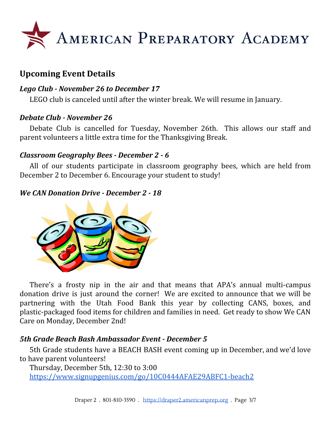

# **Upcoming Event Details**

# *Lego Club - November 26 to December 17*

LEGO club is canceled until after the winter break. We will resume in January.

# *Debate Club - November 26*

Debate Club is cancelled for Tuesday, November 26th. This allows our staff and parent volunteers a little extra time for the Thanksgiving Break.

# *Classroom Geography Bees - December 2 - 6*

All of our students participate in classroom geography bees, which are held from December 2 to December 6. Encourage your student to study!

# *We CAN Donation Drive - December 2 - 18*



There's a frosty nip in the air and that means that APA's annual multi-campus donation drive is just around the corner! We are excited to announce that we will be partnering with the Utah Food Bank this year by collecting CANS, boxes, and plastic-packaged food items for children and families in need. Get ready to show We CAN Care on Monday, December 2nd!

# *5th Grade Beach Bash Ambassador Event - December 5*

5th Grade students have a BEACH BASH event coming up in December, and we'd love to have parent volunteers!

Thursday, December 5th, 12:30 to 3:00 <https://www.signupgenius.com/go/10C0444AFAE29ABFC1-beach2>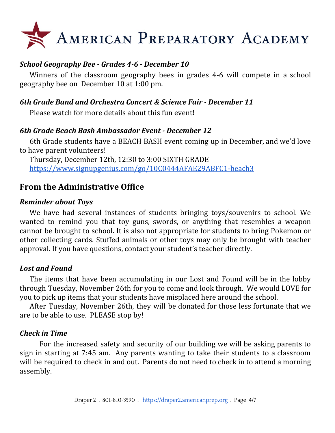

# *School Geography Bee - Grades 4-6 - December 10*

Winners of the classroom geography bees in grades 4-6 will compete in a school geography bee on December 10 at 1:00 pm.

# *6th Grade Band and Orchestra Concert & Science Fair - December 11*

Please watch for more details about this fun event!

#### *6th Grade Beach Bash Ambassador Event - December 12*

6th Grade students have a BEACH BASH event coming up in December, and we'd love to have parent volunteers!

Thursday, December 12th, 12:30 to 3:00 SIXTH GRADE <https://www.signupgenius.com/go/10C0444AFAE29ABFC1-beach3>

# **From the Administrative Office**

#### *Reminder about Toys*

We have had several instances of students bringing toys/souvenirs to school. We wanted to remind you that toy guns, swords, or anything that resembles a weapon cannot be brought to school. It is also not appropriate for students to bring Pokemon or other collecting cards. Stuffed animals or other toys may only be brought with teacher approval. If you have questions, contact your student's teacher directly.

# *Lost and Found*

The items that have been accumulating in our Lost and Found will be in the lobby through Tuesday, November 26th for you to come and look through. We would LOVE for you to pick up items that your students have misplaced here around the school.

After Tuesday, November 26th, they will be donated for those less fortunate that we are to be able to use. PLEASE stop by!

# *Check in Time*

For the increased safety and security of our building we will be asking parents to sign in starting at 7:45 am. Any parents wanting to take their students to a classroom will be required to check in and out. Parents do not need to check in to attend a morning assembly.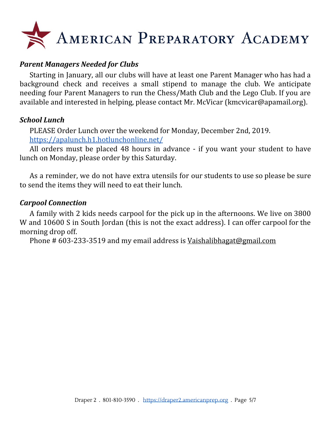# AMERICAN PREPARATORY ACADEMY

# *Parent Managers Needed for Clubs*

Starting in January, all our clubs will have at least one Parent Manager who has had a background check and receives a small stipend to manage the club. We anticipate needing four Parent Managers to run the Chess/Math Club and the Lego Club. If you are available and interested in helping, please contact Mr. McVicar (kmcvicar@apamail.org).

#### *School Lunch*

PLEASE Order Lunch over the weekend for Monday, December 2nd, 2019. <https://apalunch.h1.hotlunchonline.net/>

All orders must be placed 48 hours in advance - if you want your student to have lunch on Monday, please order by this Saturday.

As a reminder, we do not have extra utensils for our students to use so please be sure to send the items they will need to eat their lunch.

#### *Carpool Connection*

A family with 2 kids needs carpool for the pick up in the afternoons. We live on 3800 W and 10600 S in South Jordan (this is not the exact address). I can offer carpool for the morning drop off.

Phone # 603-233-3519 and my email address is [Vaishalibhagat@gmail.com](mailto:Vaishalibhagat@gmail.com)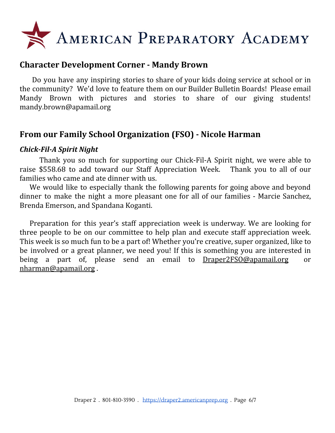

# **Character Development Corner - Mandy Brown**

Do you have any inspiring stories to share of your kids doing service at school or in the community? We'd love to feature them on our Builder Bulletin Boards! Please email Mandy Brown with pictures and stories to share of our giving students! mandy.brown@apamail.org

# **From our Family School Organization (FSO) - Nicole Harman**

#### *Chick-Fil-A Spirit Night*

Thank you so much for supporting our Chick-Fil-A Spirit night, we were able to raise \$558.68 to add toward our Staff Appreciation Week. Thank you to all of our families who came and ate dinner with us.

We would like to especially thank the following parents for going above and beyond dinner to make the night a more pleasant one for all of our families - Marcie Sanchez, Brenda Emerson, and Spandana Koganti.

Preparation for this year's staff appreciation week is underway. We are looking for three people to be on our committee to help plan and execute staff appreciation week. This week is so much fun to be a part of! Whether you're creative, super organized, like to be involved or a great planner, we need you! If this is something you are interested in being a part of, please send an email to [Draper2FSO@apamail.org](mailto:Draper2FSO@apamail.org) or [nharman@apamail.org](mailto:nharman@apamail.org) .